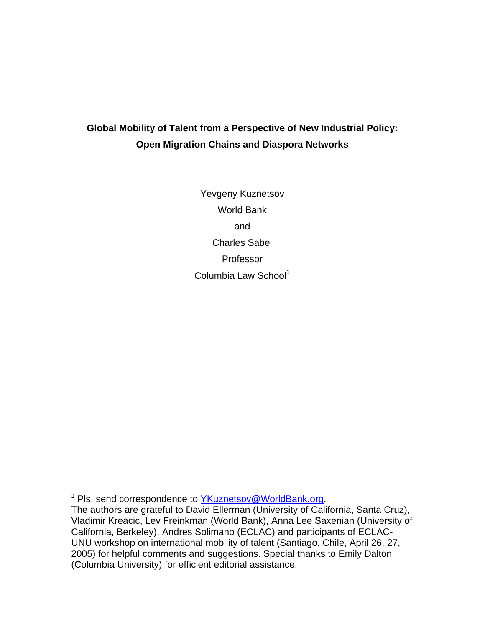# **Global Mobility of Talent from a Perspective of New Industrial Policy: Open Migration Chains and Diaspora Networks**

Yevgeny Kuznetsov World Bank and Charles Sabel Professor Columbia Law School<sup>[1](#page-0-0)</sup>

<span id="page-0-0"></span> 1 Pls. send correspondence to [YKuznetsov@WorldBank.org.](mailto:YKuznetsov@WorldBank.org)

The authors are grateful to David Ellerman (University of California, Santa Cruz), Vladimir Kreacic, Lev Freinkman (World Bank), Anna Lee Saxenian (University of California, Berkeley), Andres Solimano (ECLAC) and participants of ECLAC-UNU workshop on international mobility of talent (Santiago, Chile, April 26, 27, 2005) for helpful comments and suggestions. Special thanks to Emily Dalton (Columbia University) for efficient editorial assistance.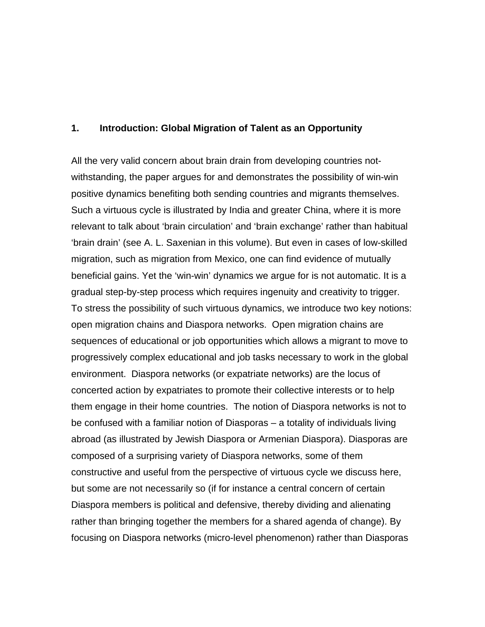### **1. Introduction: Global Migration of Talent as an Opportunity**

All the very valid concern about brain drain from developing countries notwithstanding, the paper argues for and demonstrates the possibility of win-win positive dynamics benefiting both sending countries and migrants themselves. Such a virtuous cycle is illustrated by India and greater China, where it is more relevant to talk about 'brain circulation' and 'brain exchange' rather than habitual 'brain drain' (see A. L. Saxenian in this volume). But even in cases of low-skilled migration, such as migration from Mexico, one can find evidence of mutually beneficial gains. Yet the 'win-win' dynamics we argue for is not automatic. It is a gradual step-by-step process which requires ingenuity and creativity to trigger. To stress the possibility of such virtuous dynamics, we introduce two key notions: open migration chains and Diaspora networks. Open migration chains are sequences of educational or job opportunities which allows a migrant to move to progressively complex educational and job tasks necessary to work in the global environment. Diaspora networks (or expatriate networks) are the locus of concerted action by expatriates to promote their collective interests or to help them engage in their home countries. The notion of Diaspora networks is not to be confused with a familiar notion of Diasporas – a totality of individuals living abroad (as illustrated by Jewish Diaspora or Armenian Diaspora). Diasporas are composed of a surprising variety of Diaspora networks, some of them constructive and useful from the perspective of virtuous cycle we discuss here, but some are not necessarily so (if for instance a central concern of certain Diaspora members is political and defensive, thereby dividing and alienating rather than bringing together the members for a shared agenda of change). By focusing on Diaspora networks (micro-level phenomenon) rather than Diasporas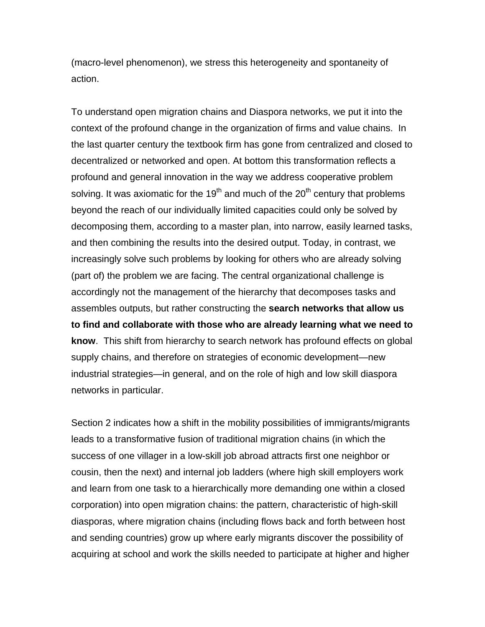(macro-level phenomenon), we stress this heterogeneity and spontaneity of action.

To understand open migration chains and Diaspora networks, we put it into the context of the profound change in the organization of firms and value chains. In the last quarter century the textbook firm has gone from centralized and closed to decentralized or networked and open. At bottom this transformation reflects a profound and general innovation in the way we address cooperative problem solving. It was axiomatic for the 19<sup>th</sup> and much of the  $20<sup>th</sup>$  century that problems beyond the reach of our individually limited capacities could only be solved by decomposing them, according to a master plan, into narrow, easily learned tasks, and then combining the results into the desired output. Today, in contrast, we increasingly solve such problems by looking for others who are already solving (part of) the problem we are facing. The central organizational challenge is accordingly not the management of the hierarchy that decomposes tasks and assembles outputs, but rather constructing the **search networks that allow us to find and collaborate with those who are already learning what we need to know**. This shift from hierarchy to search network has profound effects on global supply chains, and therefore on strategies of economic development—new industrial strategies—in general, and on the role of high and low skill diaspora networks in particular.

Section 2 indicates how a shift in the mobility possibilities of immigrants/migrants leads to a transformative fusion of traditional migration chains (in which the success of one villager in a low-skill job abroad attracts first one neighbor or cousin, then the next) and internal job ladders (where high skill employers work and learn from one task to a hierarchically more demanding one within a closed corporation) into open migration chains: the pattern, characteristic of high-skill diasporas, where migration chains (including flows back and forth between host and sending countries) grow up where early migrants discover the possibility of acquiring at school and work the skills needed to participate at higher and higher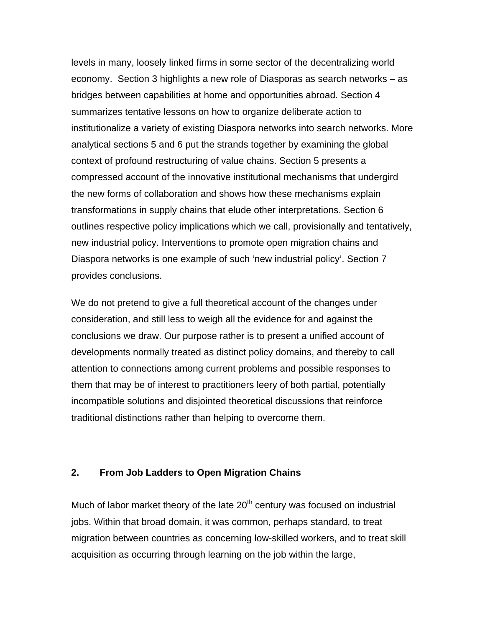levels in many, loosely linked firms in some sector of the decentralizing world economy. Section 3 highlights a new role of Diasporas as search networks – as bridges between capabilities at home and opportunities abroad. Section 4 summarizes tentative lessons on how to organize deliberate action to institutionalize a variety of existing Diaspora networks into search networks. More analytical sections 5 and 6 put the strands together by examining the global context of profound restructuring of value chains. Section 5 presents a compressed account of the innovative institutional mechanisms that undergird the new forms of collaboration and shows how these mechanisms explain transformations in supply chains that elude other interpretations. Section 6 outlines respective policy implications which we call, provisionally and tentatively, new industrial policy. Interventions to promote open migration chains and Diaspora networks is one example of such 'new industrial policy'. Section 7 provides conclusions.

We do not pretend to give a full theoretical account of the changes under consideration, and still less to weigh all the evidence for and against the conclusions we draw. Our purpose rather is to present a unified account of developments normally treated as distinct policy domains, and thereby to call attention to connections among current problems and possible responses to them that may be of interest to practitioners leery of both partial, potentially incompatible solutions and disjointed theoretical discussions that reinforce traditional distinctions rather than helping to overcome them.

#### **2. From Job Ladders to Open Migration Chains**

Much of labor market theory of the late  $20<sup>th</sup>$  century was focused on industrial jobs. Within that broad domain, it was common, perhaps standard, to treat migration between countries as concerning low-skilled workers, and to treat skill acquisition as occurring through learning on the job within the large,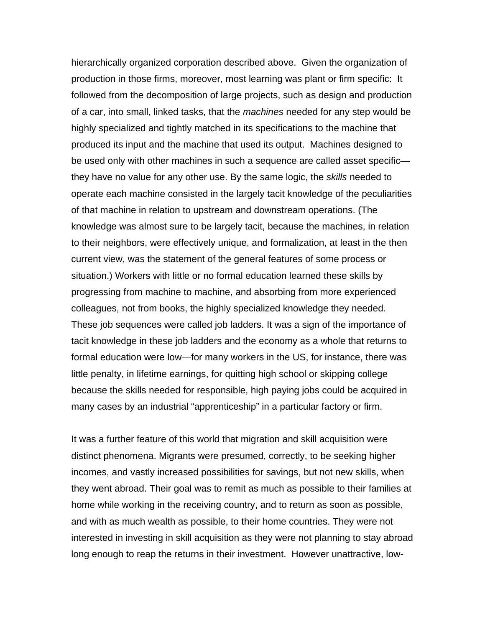hierarchically organized corporation described above. Given the organization of production in those firms, moreover, most learning was plant or firm specific: It followed from the decomposition of large projects, such as design and production of a car, into small, linked tasks, that the *machines* needed for any step would be highly specialized and tightly matched in its specifications to the machine that produced its input and the machine that used its output. Machines designed to be used only with other machines in such a sequence are called asset specific they have no value for any other use. By the same logic, the *skills* needed to operate each machine consisted in the largely tacit knowledge of the peculiarities of that machine in relation to upstream and downstream operations. (The knowledge was almost sure to be largely tacit, because the machines, in relation to their neighbors, were effectively unique, and formalization, at least in the then current view, was the statement of the general features of some process or situation.) Workers with little or no formal education learned these skills by progressing from machine to machine, and absorbing from more experienced colleagues, not from books, the highly specialized knowledge they needed. These job sequences were called job ladders. It was a sign of the importance of tacit knowledge in these job ladders and the economy as a whole that returns to formal education were low—for many workers in the US, for instance, there was little penalty, in lifetime earnings, for quitting high school or skipping college because the skills needed for responsible, high paying jobs could be acquired in many cases by an industrial "apprenticeship" in a particular factory or firm.

It was a further feature of this world that migration and skill acquisition were distinct phenomena. Migrants were presumed, correctly, to be seeking higher incomes, and vastly increased possibilities for savings, but not new skills, when they went abroad. Their goal was to remit as much as possible to their families at home while working in the receiving country, and to return as soon as possible, and with as much wealth as possible, to their home countries. They were not interested in investing in skill acquisition as they were not planning to stay abroad long enough to reap the returns in their investment. However unattractive, low-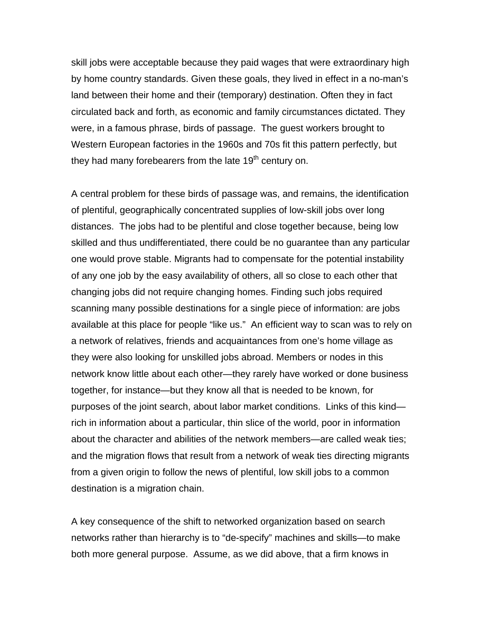skill jobs were acceptable because they paid wages that were extraordinary high by home country standards. Given these goals, they lived in effect in a no-man's land between their home and their (temporary) destination. Often they in fact circulated back and forth, as economic and family circumstances dictated. They were, in a famous phrase, birds of passage. The guest workers brought to Western European factories in the 1960s and 70s fit this pattern perfectly, but they had many forebearers from the late  $19<sup>th</sup>$  century on.

A central problem for these birds of passage was, and remains, the identification of plentiful, geographically concentrated supplies of low-skill jobs over long distances. The jobs had to be plentiful and close together because, being low skilled and thus undifferentiated, there could be no guarantee than any particular one would prove stable. Migrants had to compensate for the potential instability of any one job by the easy availability of others, all so close to each other that changing jobs did not require changing homes. Finding such jobs required scanning many possible destinations for a single piece of information: are jobs available at this place for people "like us." An efficient way to scan was to rely on a network of relatives, friends and acquaintances from one's home village as they were also looking for unskilled jobs abroad. Members or nodes in this network know little about each other—they rarely have worked or done business together, for instance—but they know all that is needed to be known, for purposes of the joint search, about labor market conditions. Links of this kind rich in information about a particular, thin slice of the world, poor in information about the character and abilities of the network members—are called weak ties; and the migration flows that result from a network of weak ties directing migrants from a given origin to follow the news of plentiful, low skill jobs to a common destination is a migration chain.

A key consequence of the shift to networked organization based on search networks rather than hierarchy is to "de-specify" machines and skills—to make both more general purpose. Assume, as we did above, that a firm knows in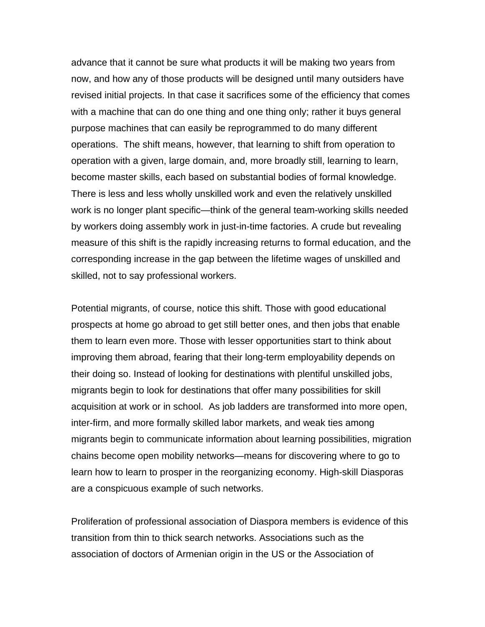advance that it cannot be sure what products it will be making two years from now, and how any of those products will be designed until many outsiders have revised initial projects. In that case it sacrifices some of the efficiency that comes with a machine that can do one thing and one thing only; rather it buys general purpose machines that can easily be reprogrammed to do many different operations. The shift means, however, that learning to shift from operation to operation with a given, large domain, and, more broadly still, learning to learn, become master skills, each based on substantial bodies of formal knowledge. There is less and less wholly unskilled work and even the relatively unskilled work is no longer plant specific—think of the general team-working skills needed by workers doing assembly work in just-in-time factories. A crude but revealing measure of this shift is the rapidly increasing returns to formal education, and the corresponding increase in the gap between the lifetime wages of unskilled and skilled, not to say professional workers.

Potential migrants, of course, notice this shift. Those with good educational prospects at home go abroad to get still better ones, and then jobs that enable them to learn even more. Those with lesser opportunities start to think about improving them abroad, fearing that their long-term employability depends on their doing so. Instead of looking for destinations with plentiful unskilled jobs, migrants begin to look for destinations that offer many possibilities for skill acquisition at work or in school. As job ladders are transformed into more open, inter-firm, and more formally skilled labor markets, and weak ties among migrants begin to communicate information about learning possibilities, migration chains become open mobility networks—means for discovering where to go to learn how to learn to prosper in the reorganizing economy. High-skill Diasporas are a conspicuous example of such networks.

Proliferation of professional association of Diaspora members is evidence of this transition from thin to thick search networks. Associations such as the association of doctors of Armenian origin in the US or the Association of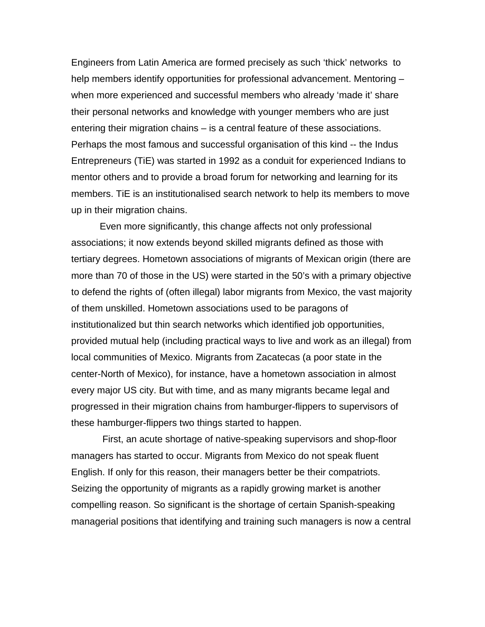Engineers from Latin America are formed precisely as such 'thick' networks to help members identify opportunities for professional advancement. Mentoring – when more experienced and successful members who already 'made it' share their personal networks and knowledge with younger members who are just entering their migration chains – is a central feature of these associations. Perhaps the most famous and successful organisation of this kind -- the Indus Entrepreneurs (TiE) was started in 1992 as a conduit for experienced Indians to mentor others and to provide a broad forum for networking and learning for its members. TiE is an institutionalised search network to help its members to move up in their migration chains.

Even more significantly, this change affects not only professional associations; it now extends beyond skilled migrants defined as those with tertiary degrees. Hometown associations of migrants of Mexican origin (there are more than 70 of those in the US) were started in the 50's with a primary objective to defend the rights of (often illegal) labor migrants from Mexico, the vast majority of them unskilled. Hometown associations used to be paragons of institutionalized but thin search networks which identified job opportunities, provided mutual help (including practical ways to live and work as an illegal) from local communities of Mexico. Migrants from Zacatecas (a poor state in the center-North of Mexico), for instance, have a hometown association in almost every major US city. But with time, and as many migrants became legal and progressed in their migration chains from hamburger-flippers to supervisors of these hamburger-flippers two things started to happen.

 First, an acute shortage of native-speaking supervisors and shop-floor managers has started to occur. Migrants from Mexico do not speak fluent English. If only for this reason, their managers better be their compatriots. Seizing the opportunity of migrants as a rapidly growing market is another compelling reason. So significant is the shortage of certain Spanish-speaking managerial positions that identifying and training such managers is now a central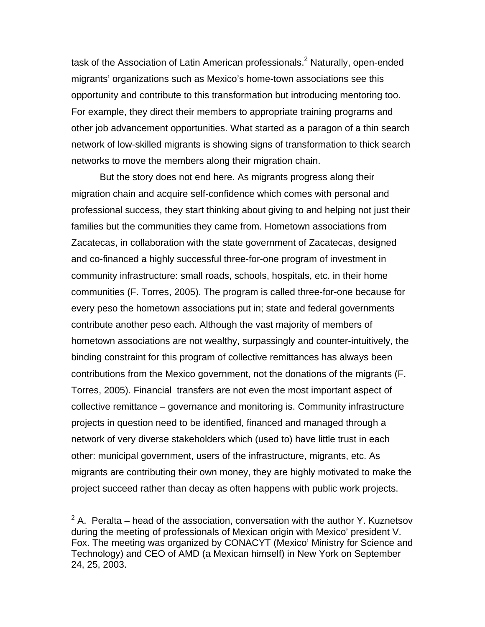task of the Association of Latin American professionals.<sup>[2](#page-8-0)</sup> Naturally, open-ended migrants' organizations such as Mexico's home-town associations see this opportunity and contribute to this transformation but introducing mentoring too. For example, they direct their members to appropriate training programs and other job advancement opportunities. What started as a paragon of a thin search network of low-skilled migrants is showing signs of transformation to thick search networks to move the members along their migration chain.

But the story does not end here. As migrants progress along their migration chain and acquire self-confidence which comes with personal and professional success, they start thinking about giving to and helping not just their families but the communities they came from. Hometown associations from Zacatecas, in collaboration with the state government of Zacatecas, designed and co-financed a highly successful three-for-one program of investment in community infrastructure: small roads, schools, hospitals, etc. in their home communities (F. Torres, 2005). The program is called three-for-one because for every peso the hometown associations put in; state and federal governments contribute another peso each. Although the vast majority of members of hometown associations are not wealthy, surpassingly and counter-intuitively, the binding constraint for this program of collective remittances has always been contributions from the Mexico government, not the donations of the migrants (F. Torres, 2005). Financial transfers are not even the most important aspect of collective remittance – governance and monitoring is. Community infrastructure projects in question need to be identified, financed and managed through a network of very diverse stakeholders which (used to) have little trust in each other: municipal government, users of the infrastructure, migrants, etc. As migrants are contributing their own money, they are highly motivated to make the project succeed rather than decay as often happens with public work projects.

1

<span id="page-8-0"></span> $2$  A. Peralta – head of the association, conversation with the author Y. Kuznetsov during the meeting of professionals of Mexican origin with Mexico' president V. Fox. The meeting was organized by CONACYT (Mexico' Ministry for Science and Technology) and CEO of AMD (a Mexican himself) in New York on September 24, 25, 2003.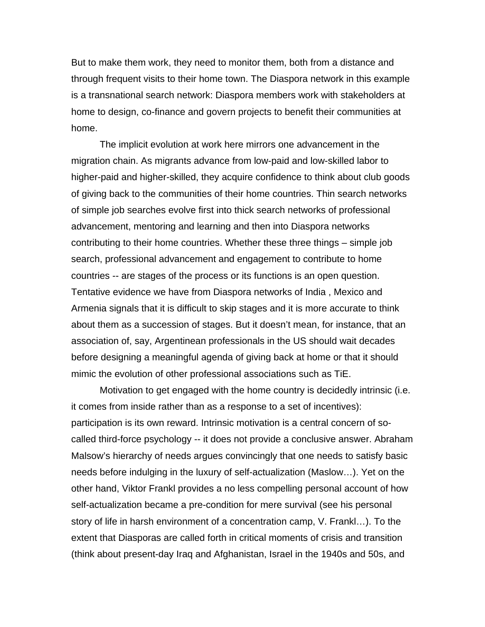But to make them work, they need to monitor them, both from a distance and through frequent visits to their home town. The Diaspora network in this example is a transnational search network: Diaspora members work with stakeholders at home to design, co-finance and govern projects to benefit their communities at home.

The implicit evolution at work here mirrors one advancement in the migration chain. As migrants advance from low-paid and low-skilled labor to higher-paid and higher-skilled, they acquire confidence to think about club goods of giving back to the communities of their home countries. Thin search networks of simple job searches evolve first into thick search networks of professional advancement, mentoring and learning and then into Diaspora networks contributing to their home countries. Whether these three things – simple job search, professional advancement and engagement to contribute to home countries -- are stages of the process or its functions is an open question. Tentative evidence we have from Diaspora networks of India , Mexico and Armenia signals that it is difficult to skip stages and it is more accurate to think about them as a succession of stages. But it doesn't mean, for instance, that an association of, say, Argentinean professionals in the US should wait decades before designing a meaningful agenda of giving back at home or that it should mimic the evolution of other professional associations such as TiE.

Motivation to get engaged with the home country is decidedly intrinsic (i.e. it comes from inside rather than as a response to a set of incentives): participation is its own reward. Intrinsic motivation is a central concern of socalled third-force psychology -- it does not provide a conclusive answer. Abraham Malsow's hierarchy of needs argues convincingly that one needs to satisfy basic needs before indulging in the luxury of self-actualization (Maslow…). Yet on the other hand, Viktor Frankl provides a no less compelling personal account of how self-actualization became a pre-condition for mere survival (see his personal story of life in harsh environment of a concentration camp, V. Frankl…). To the extent that Diasporas are called forth in critical moments of crisis and transition (think about present-day Iraq and Afghanistan, Israel in the 1940s and 50s, and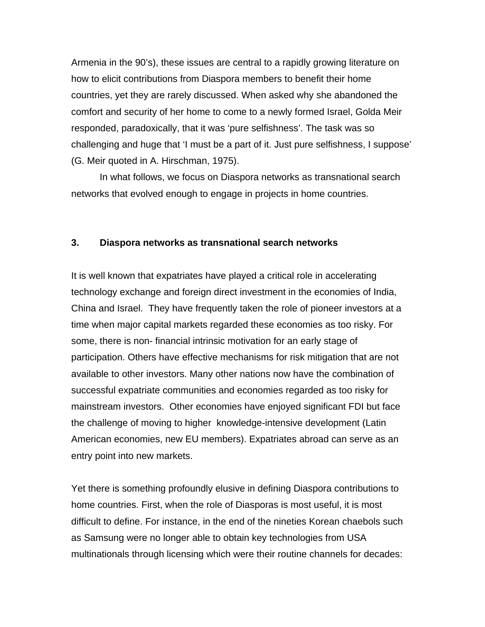Armenia in the 90's), these issues are central to a rapidly growing literature on how to elicit contributions from Diaspora members to benefit their home countries, yet they are rarely discussed. When asked why she abandoned the comfort and security of her home to come to a newly formed Israel, Golda Meir responded, paradoxically, that it was 'pure selfishness'. The task was so challenging and huge that 'I must be a part of it. Just pure selfishness, I suppose' (G. Meir quoted in A. Hirschman, 1975).

In what follows, we focus on Diaspora networks as transnational search networks that evolved enough to engage in projects in home countries.

### **3. Diaspora networks as transnational search networks**

It is well known that expatriates have played a critical role in accelerating technology exchange and foreign direct investment in the economies of India, China and Israel. They have frequently taken the role of pioneer investors at a time when major capital markets regarded these economies as too risky. For some, there is non- financial intrinsic motivation for an early stage of participation. Others have effective mechanisms for risk mitigation that are not available to other investors. Many other nations now have the combination of successful expatriate communities and economies regarded as too risky for mainstream investors. Other economies have enjoyed significant FDI but face the challenge of moving to higher knowledge-intensive development (Latin American economies, new EU members). Expatriates abroad can serve as an entry point into new markets.

Yet there is something profoundly elusive in defining Diaspora contributions to home countries. First, when the role of Diasporas is most useful, it is most difficult to define. For instance, in the end of the nineties Korean chaebols such as Samsung were no longer able to obtain key technologies from USA multinationals through licensing which were their routine channels for decades: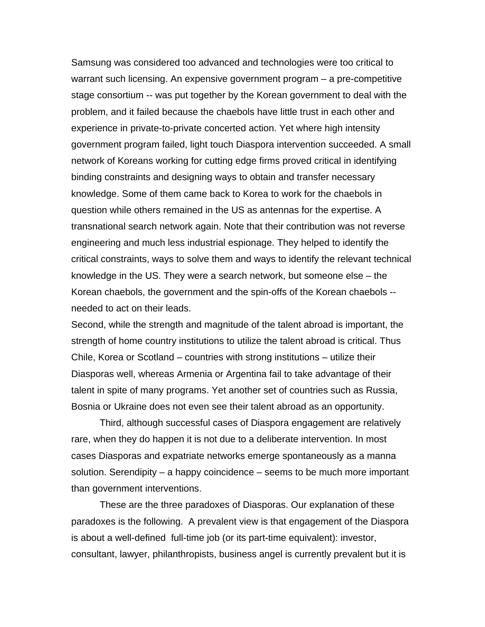Samsung was considered too advanced and technologies were too critical to warrant such licensing. An expensive government program – a pre-competitive stage consortium -- was put together by the Korean government to deal with the problem, and it failed because the chaebols have little trust in each other and experience in private-to-private concerted action. Yet where high intensity government program failed, light touch Diaspora intervention succeeded. A small network of Koreans working for cutting edge firms proved critical in identifying binding constraints and designing ways to obtain and transfer necessary knowledge. Some of them came back to Korea to work for the chaebols in question while others remained in the US as antennas for the expertise. A transnational search network again. Note that their contribution was not reverse engineering and much less industrial espionage. They helped to identify the critical constraints, ways to solve them and ways to identify the relevant technical knowledge in the US. They were a search network, but someone else – the Korean chaebols, the government and the spin-offs of the Korean chaebols - needed to act on their leads.

Second, while the strength and magnitude of the talent abroad is important, the strength of home country institutions to utilize the talent abroad is critical. Thus Chile, Korea or Scotland – countries with strong institutions – utilize their Diasporas well, whereas Armenia or Argentina fail to take advantage of their talent in spite of many programs. Yet another set of countries such as Russia, Bosnia or Ukraine does not even see their talent abroad as an opportunity.

Third, although successful cases of Diaspora engagement are relatively rare, when they do happen it is not due to a deliberate intervention. In most cases Diasporas and expatriate networks emerge spontaneously as a manna solution. Serendipity – a happy coincidence – seems to be much more important than government interventions.

These are the three paradoxes of Diasporas. Our explanation of these paradoxes is the following. A prevalent view is that engagement of the Diaspora is about a well-defined full-time job (or its part-time equivalent): investor, consultant, lawyer, philanthropists, business angel is currently prevalent but it is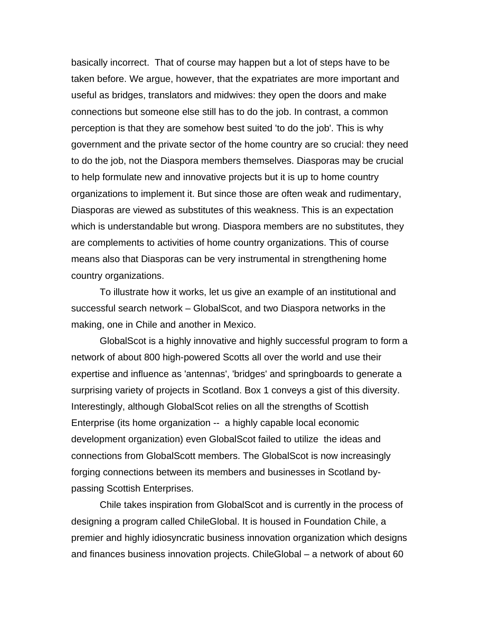basically incorrect. That of course may happen but a lot of steps have to be taken before. We argue, however, that the expatriates are more important and useful as bridges, translators and midwives: they open the doors and make connections but someone else still has to do the job. In contrast, a common perception is that they are somehow best suited 'to do the job'. This is why government and the private sector of the home country are so crucial: they need to do the job, not the Diaspora members themselves. Diasporas may be crucial to help formulate new and innovative projects but it is up to home country organizations to implement it. But since those are often weak and rudimentary, Diasporas are viewed as substitutes of this weakness. This is an expectation which is understandable but wrong. Diaspora members are no substitutes, they are complements to activities of home country organizations. This of course means also that Diasporas can be very instrumental in strengthening home country organizations.

To illustrate how it works, let us give an example of an institutional and successful search network – GlobalScot, and two Diaspora networks in the making, one in Chile and another in Mexico.

GlobalScot is a highly innovative and highly successful program to form a network of about 800 high-powered Scotts all over the world and use their expertise and influence as 'antennas', 'bridges' and springboards to generate a surprising variety of projects in Scotland. Box 1 conveys a gist of this diversity. Interestingly, although GlobalScot relies on all the strengths of Scottish Enterprise (its home organization -- a highly capable local economic development organization) even GlobalScot failed to utilize the ideas and connections from GlobalScott members. The GlobalScot is now increasingly forging connections between its members and businesses in Scotland bypassing Scottish Enterprises.

Chile takes inspiration from GlobalScot and is currently in the process of designing a program called ChileGlobal. It is housed in Foundation Chile, a premier and highly idiosyncratic business innovation organization which designs and finances business innovation projects. ChileGlobal – a network of about 60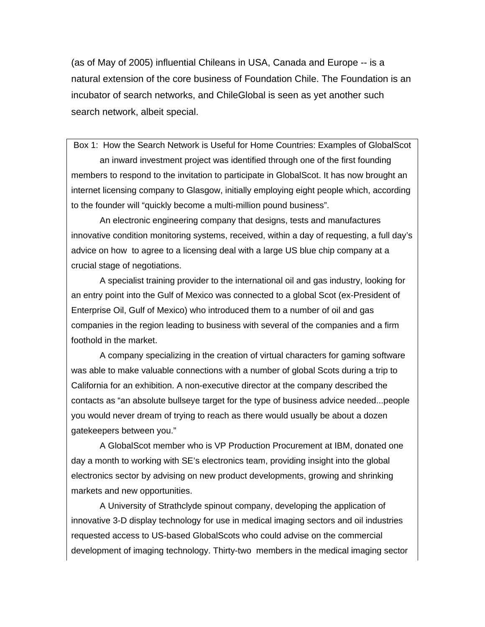(as of May of 2005) influential Chileans in USA, Canada and Europe -- is a natural extension of the core business of Foundation Chile. The Foundation is an incubator of search networks, and ChileGlobal is seen as yet another such search network, albeit special.

Box 1: How the Search Network is Useful for Home Countries: Examples of GlobalScot an inward investment project was identified through one of the first founding members to respond to the invitation to participate in GlobalScot. It has now brought an internet licensing company to Glasgow, initially employing eight people which, according to the founder will "quickly become a multi-million pound business".

 An electronic engineering company that designs, tests and manufactures innovative condition monitoring systems, received, within a day of requesting, a full day's advice on how to agree to a licensing deal with a large US blue chip company at a crucial stage of negotiations.

 A specialist training provider to the international oil and gas industry, looking for an entry point into the Gulf of Mexico was connected to a global Scot (ex-President of Enterprise Oil, Gulf of Mexico) who introduced them to a number of oil and gas companies in the region leading to business with several of the companies and a firm foothold in the market.

 A company specializing in the creation of virtual characters for gaming software was able to make valuable connections with a number of global Scots during a trip to California for an exhibition. A non-executive director at the company described the contacts as "an absolute bullseye target for the type of business advice needed...people you would never dream of trying to reach as there would usually be about a dozen gatekeepers between you."

 A GlobalScot member who is VP Production Procurement at IBM, donated one day a month to working with SE's electronics team, providing insight into the global electronics sector by advising on new product developments, growing and shrinking markets and new opportunities.

 A University of Strathclyde spinout company, developing the application of innovative 3-D display technology for use in medical imaging sectors and oil industries requested access to US-based GlobalScots who could advise on the commercial development of imaging technology. Thirty-two members in the medical imaging sector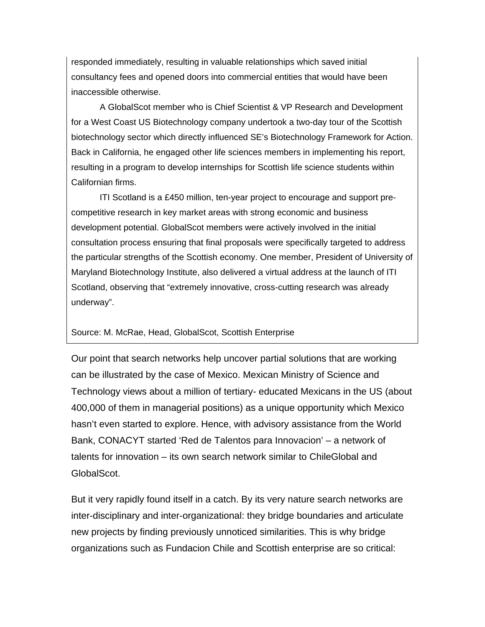responded immediately, resulting in valuable relationships which saved initial consultancy fees and opened doors into commercial entities that would have been inaccessible otherwise.

 A GlobalScot member who is Chief Scientist & VP Research and Development for a West Coast US Biotechnology company undertook a two-day tour of the Scottish biotechnology sector which directly influenced SE's Biotechnology Framework for Action. Back in California, he engaged other life sciences members in implementing his report, resulting in a program to develop internships for Scottish life science students within Californian firms.

 ITI Scotland is a £450 million, ten-year project to encourage and support precompetitive research in key market areas with strong economic and business development potential. GlobalScot members were actively involved in the initial consultation process ensuring that final proposals were specifically targeted to address the particular strengths of the Scottish economy. One member, President of University of Maryland Biotechnology Institute, also delivered a virtual address at the launch of ITI Scotland, observing that "extremely innovative, cross-cutting research was already underway".

#### Source: M. McRae, Head, GlobalScot, Scottish Enterprise

Our point that search networks help uncover partial solutions that are working can be illustrated by the case of Mexico. Mexican Ministry of Science and Technology views about a million of tertiary- educated Mexicans in the US (about 400,000 of them in managerial positions) as a unique opportunity which Mexico hasn't even started to explore. Hence, with advisory assistance from the World Bank, CONACYT started 'Red de Talentos para Innovacion' – a network of talents for innovation – its own search network similar to ChileGlobal and GlobalScot.

But it very rapidly found itself in a catch. By its very nature search networks are inter-disciplinary and inter-organizational: they bridge boundaries and articulate new projects by finding previously unnoticed similarities. This is why bridge organizations such as Fundacion Chile and Scottish enterprise are so critical: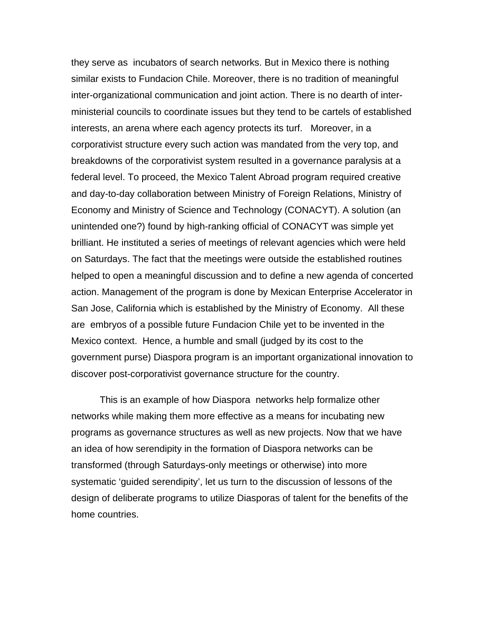they serve as incubators of search networks. But in Mexico there is nothing similar exists to Fundacion Chile. Moreover, there is no tradition of meaningful inter-organizational communication and joint action. There is no dearth of interministerial councils to coordinate issues but they tend to be cartels of established interests, an arena where each agency protects its turf. Moreover, in a corporativist structure every such action was mandated from the very top, and breakdowns of the corporativist system resulted in a governance paralysis at a federal level. To proceed, the Mexico Talent Abroad program required creative and day-to-day collaboration between Ministry of Foreign Relations, Ministry of Economy and Ministry of Science and Technology (CONACYT). A solution (an unintended one?) found by high-ranking official of CONACYT was simple yet brilliant. He instituted a series of meetings of relevant agencies which were held on Saturdays. The fact that the meetings were outside the established routines helped to open a meaningful discussion and to define a new agenda of concerted action. Management of the program is done by Mexican Enterprise Accelerator in San Jose, California which is established by the Ministry of Economy. All these are embryos of a possible future Fundacion Chile yet to be invented in the Mexico context. Hence, a humble and small (judged by its cost to the government purse) Diaspora program is an important organizational innovation to discover post-corporativist governance structure for the country.

 This is an example of how Diaspora networks help formalize other networks while making them more effective as a means for incubating new programs as governance structures as well as new projects. Now that we have an idea of how serendipity in the formation of Diaspora networks can be transformed (through Saturdays-only meetings or otherwise) into more systematic 'guided serendipity', let us turn to the discussion of lessons of the design of deliberate programs to utilize Diasporas of talent for the benefits of the home countries.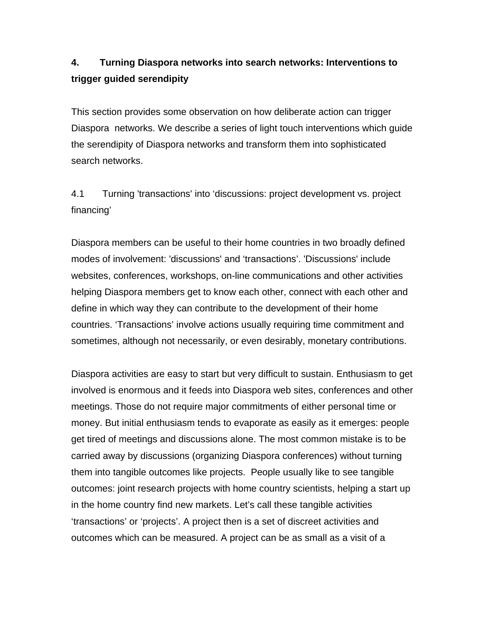# **4. Turning Diaspora networks into search networks: Interventions to trigger guided serendipity**

This section provides some observation on how deliberate action can trigger Diaspora networks. We describe a series of light touch interventions which guide the serendipity of Diaspora networks and transform them into sophisticated search networks.

4.1 Turning 'transactions' into 'discussions: project development vs. project financing'

Diaspora members can be useful to their home countries in two broadly defined modes of involvement: 'discussions' and 'transactions'. 'Discussions' include websites, conferences, workshops, on-line communications and other activities helping Diaspora members get to know each other, connect with each other and define in which way they can contribute to the development of their home countries. 'Transactions' involve actions usually requiring time commitment and sometimes, although not necessarily, or even desirably, monetary contributions.

Diaspora activities are easy to start but very difficult to sustain. Enthusiasm to get involved is enormous and it feeds into Diaspora web sites, conferences and other meetings. Those do not require major commitments of either personal time or money. But initial enthusiasm tends to evaporate as easily as it emerges: people get tired of meetings and discussions alone. The most common mistake is to be carried away by discussions (organizing Diaspora conferences) without turning them into tangible outcomes like projects. People usually like to see tangible outcomes: joint research projects with home country scientists, helping a start up in the home country find new markets. Let's call these tangible activities 'transactions' or 'projects'. A project then is a set of discreet activities and outcomes which can be measured. A project can be as small as a visit of a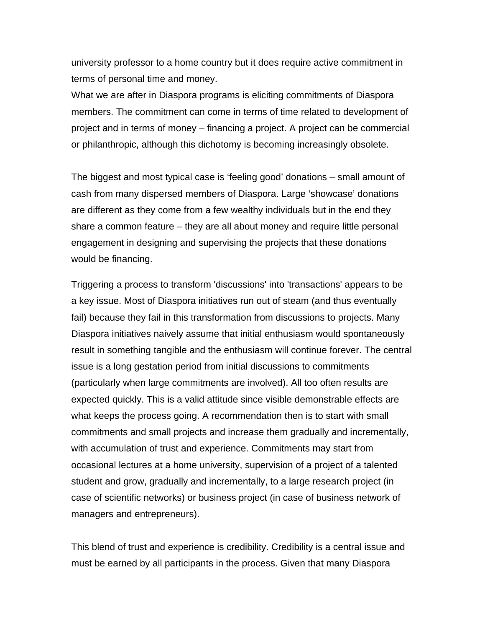university professor to a home country but it does require active commitment in terms of personal time and money.

What we are after in Diaspora programs is eliciting commitments of Diaspora members. The commitment can come in terms of time related to development of project and in terms of money – financing a project. A project can be commercial or philanthropic, although this dichotomy is becoming increasingly obsolete.

The biggest and most typical case is 'feeling good' donations – small amount of cash from many dispersed members of Diaspora. Large 'showcase' donations are different as they come from a few wealthy individuals but in the end they share a common feature – they are all about money and require little personal engagement in designing and supervising the projects that these donations would be financing.

Triggering a process to transform 'discussions' into 'transactions' appears to be a key issue. Most of Diaspora initiatives run out of steam (and thus eventually fail) because they fail in this transformation from discussions to projects. Many Diaspora initiatives naively assume that initial enthusiasm would spontaneously result in something tangible and the enthusiasm will continue forever. The central issue is a long gestation period from initial discussions to commitments (particularly when large commitments are involved). All too often results are expected quickly. This is a valid attitude since visible demonstrable effects are what keeps the process going. A recommendation then is to start with small commitments and small projects and increase them gradually and incrementally, with accumulation of trust and experience. Commitments may start from occasional lectures at a home university, supervision of a project of a talented student and grow, gradually and incrementally, to a large research project (in case of scientific networks) or business project (in case of business network of managers and entrepreneurs).

This blend of trust and experience is credibility. Credibility is a central issue and must be earned by all participants in the process. Given that many Diaspora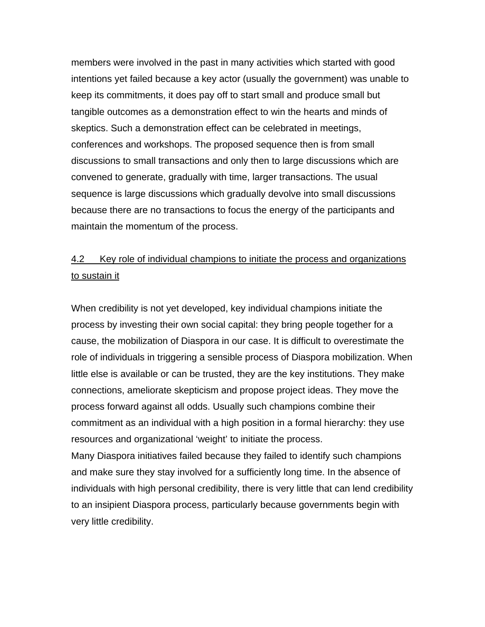members were involved in the past in many activities which started with good intentions yet failed because a key actor (usually the government) was unable to keep its commitments, it does pay off to start small and produce small but tangible outcomes as a demonstration effect to win the hearts and minds of skeptics. Such a demonstration effect can be celebrated in meetings, conferences and workshops. The proposed sequence then is from small discussions to small transactions and only then to large discussions which are convened to generate, gradually with time, larger transactions. The usual sequence is large discussions which gradually devolve into small discussions because there are no transactions to focus the energy of the participants and maintain the momentum of the process.

# 4.2 Key role of individual champions to initiate the process and organizations to sustain it

When credibility is not yet developed, key individual champions initiate the process by investing their own social capital: they bring people together for a cause, the mobilization of Diaspora in our case. It is difficult to overestimate the role of individuals in triggering a sensible process of Diaspora mobilization. When little else is available or can be trusted, they are the key institutions. They make connections, ameliorate skepticism and propose project ideas. They move the process forward against all odds. Usually such champions combine their commitment as an individual with a high position in a formal hierarchy: they use resources and organizational 'weight' to initiate the process.

Many Diaspora initiatives failed because they failed to identify such champions and make sure they stay involved for a sufficiently long time. In the absence of individuals with high personal credibility, there is very little that can lend credibility to an insipient Diaspora process, particularly because governments begin with very little credibility.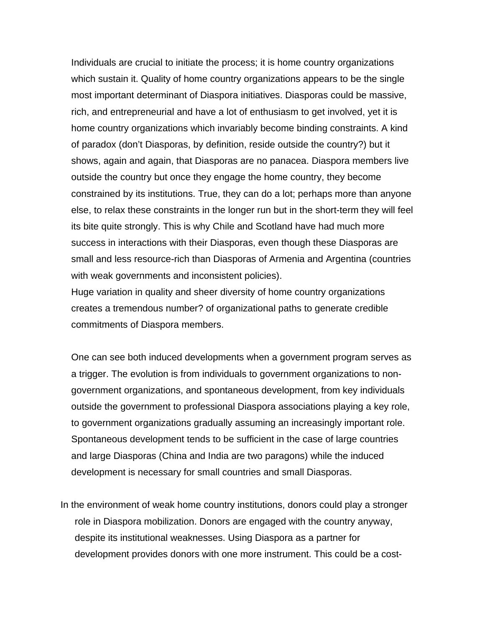Individuals are crucial to initiate the process; it is home country organizations which sustain it. Quality of home country organizations appears to be the single most important determinant of Diaspora initiatives. Diasporas could be massive, rich, and entrepreneurial and have a lot of enthusiasm to get involved, yet it is home country organizations which invariably become binding constraints. A kind of paradox (don't Diasporas, by definition, reside outside the country?) but it shows, again and again, that Diasporas are no panacea. Diaspora members live outside the country but once they engage the home country, they become constrained by its institutions. True, they can do a lot; perhaps more than anyone else, to relax these constraints in the longer run but in the short-term they will feel its bite quite strongly. This is why Chile and Scotland have had much more success in interactions with their Diasporas, even though these Diasporas are small and less resource-rich than Diasporas of Armenia and Argentina (countries with weak governments and inconsistent policies).

Huge variation in quality and sheer diversity of home country organizations creates a tremendous number? of organizational paths to generate credible commitments of Diaspora members.

One can see both induced developments when a government program serves as a trigger. The evolution is from individuals to government organizations to nongovernment organizations, and spontaneous development, from key individuals outside the government to professional Diaspora associations playing a key role, to government organizations gradually assuming an increasingly important role. Spontaneous development tends to be sufficient in the case of large countries and large Diasporas (China and India are two paragons) while the induced development is necessary for small countries and small Diasporas.

In the environment of weak home country institutions, donors could play a stronger role in Diaspora mobilization. Donors are engaged with the country anyway, despite its institutional weaknesses. Using Diaspora as a partner for development provides donors with one more instrument. This could be a cost-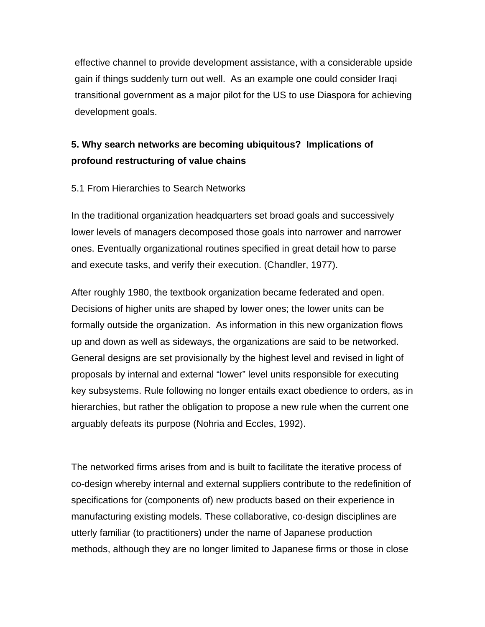effective channel to provide development assistance, with a considerable upside gain if things suddenly turn out well. As an example one could consider Iraqi transitional government as a major pilot for the US to use Diaspora for achieving development goals.

## **5. Why search networks are becoming ubiquitous? Implications of profound restructuring of value chains**

### 5.1 From Hierarchies to Search Networks

In the traditional organization headquarters set broad goals and successively lower levels of managers decomposed those goals into narrower and narrower ones. Eventually organizational routines specified in great detail how to parse and execute tasks, and verify their execution. (Chandler, 1977).

After roughly 1980, the textbook organization became federated and open. Decisions of higher units are shaped by lower ones; the lower units can be formally outside the organization. As information in this new organization flows up and down as well as sideways, the organizations are said to be networked. General designs are set provisionally by the highest level and revised in light of proposals by internal and external "lower" level units responsible for executing key subsystems. Rule following no longer entails exact obedience to orders, as in hierarchies, but rather the obligation to propose a new rule when the current one arguably defeats its purpose (Nohria and Eccles, 1992).

The networked firms arises from and is built to facilitate the iterative process of co-design whereby internal and external suppliers contribute to the redefinition of specifications for (components of) new products based on their experience in manufacturing existing models. These collaborative, co-design disciplines are utterly familiar (to practitioners) under the name of Japanese production methods, although they are no longer limited to Japanese firms or those in close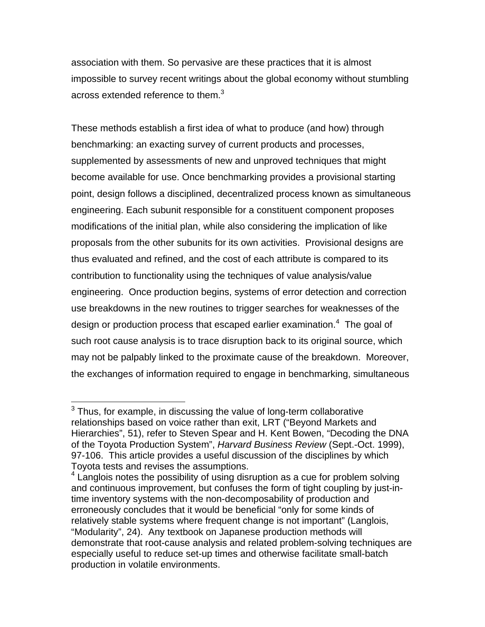association with them. So pervasive are these practices that it is almost impossible to survey recent writings about the global economy without stumbling across extended reference to them. $3$ 

These methods establish a first idea of what to produce (and how) through benchmarking: an exacting survey of current products and processes, supplemented by assessments of new and unproved techniques that might become available for use. Once benchmarking provides a provisional starting point, design follows a disciplined, decentralized process known as simultaneous engineering. Each subunit responsible for a constituent component proposes modifications of the initial plan, while also considering the implication of like proposals from the other subunits for its own activities. Provisional designs are thus evaluated and refined, and the cost of each attribute is compared to its contribution to functionality using the techniques of value analysis/value engineering. Once production begins, systems of error detection and correction use breakdowns in the new routines to trigger searches for weaknesses of the design or production process that escaped earlier examination.<sup>[4](#page-21-1)</sup> The goal of such root cause analysis is to trace disruption back to its original source, which may not be palpably linked to the proximate cause of the breakdown. Moreover, the exchanges of information required to engage in benchmarking, simultaneous

<span id="page-21-0"></span>\_\_\_\_\_\_\_\_\_\_\_\_\_\_\_\_\_\_\_\_\_\_\_\_\_\_\_\_\_\_\_\_<br><sup>3</sup> Thus, for example, in discussing the value of long-term collaborative relationships based on voice rather than exit, LRT ("Beyond Markets and Hierarchies", 51), refer to Steven Spear and H. Kent Bowen, "Decoding the DNA of the Toyota Production System", *Harvard Business Review* (Sept.-Oct. 1999), 97-106. This article provides a useful discussion of the disciplines by which Toyota tests and revises the assumptions.

<span id="page-21-1"></span><sup>&</sup>lt;sup>4</sup> Langlois notes the possibility of using disruption as a cue for problem solving and continuous improvement, but confuses the form of tight coupling by just-intime inventory systems with the non-decomposability of production and erroneously concludes that it would be beneficial "only for some kinds of relatively stable systems where frequent change is not important" (Langlois, "Modularity", 24). Any textbook on Japanese production methods will demonstrate that root-cause analysis and related problem-solving techniques are especially useful to reduce set-up times and otherwise facilitate small-batch production in volatile environments.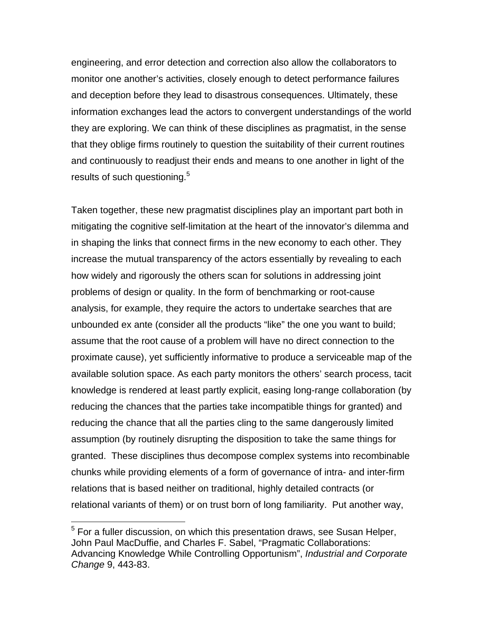engineering, and error detection and correction also allow the collaborators to monitor one another's activities, closely enough to detect performance failures and deception before they lead to disastrous consequences. Ultimately, these information exchanges lead the actors to convergent understandings of the world they are exploring. We can think of these disciplines as pragmatist, in the sense that they oblige firms routinely to question the suitability of their current routines and continuously to readjust their ends and means to one another in light of the results of such questioning.<sup>[5](#page-22-0)</sup>

Taken together, these new pragmatist disciplines play an important part both in mitigating the cognitive self-limitation at the heart of the innovator's dilemma and in shaping the links that connect firms in the new economy to each other. They increase the mutual transparency of the actors essentially by revealing to each how widely and rigorously the others scan for solutions in addressing joint problems of design or quality. In the form of benchmarking or root-cause analysis, for example, they require the actors to undertake searches that are unbounded ex ante (consider all the products "like" the one you want to build; assume that the root cause of a problem will have no direct connection to the proximate cause), yet sufficiently informative to produce a serviceable map of the available solution space. As each party monitors the others' search process, tacit knowledge is rendered at least partly explicit, easing long-range collaboration (by reducing the chances that the parties take incompatible things for granted) and reducing the chance that all the parties cling to the same dangerously limited assumption (by routinely disrupting the disposition to take the same things for granted. These disciplines thus decompose complex systems into recombinable chunks while providing elements of a form of governance of intra- and inter-firm relations that is based neither on traditional, highly detailed contracts (or relational variants of them) or on trust born of long familiarity. Put another way,

1

<span id="page-22-0"></span><sup>&</sup>lt;sup>5</sup> For a fuller discussion, on which this presentation draws, see Susan Helper, John Paul MacDuffie, and Charles F. Sabel, "Pragmatic Collaborations: Advancing Knowledge While Controlling Opportunism", *Industrial and Corporate Change* 9, 443-83.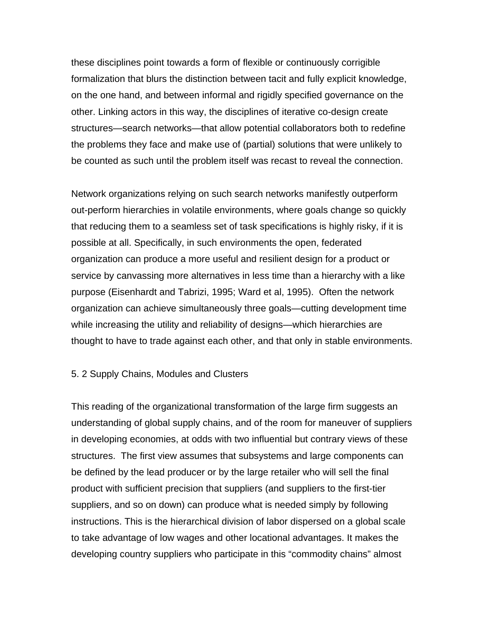these disciplines point towards a form of flexible or continuously corrigible formalization that blurs the distinction between tacit and fully explicit knowledge, on the one hand, and between informal and rigidly specified governance on the other. Linking actors in this way, the disciplines of iterative co-design create structures—search networks—that allow potential collaborators both to redefine the problems they face and make use of (partial) solutions that were unlikely to be counted as such until the problem itself was recast to reveal the connection.

Network organizations relying on such search networks manifestly outperform out-perform hierarchies in volatile environments, where goals change so quickly that reducing them to a seamless set of task specifications is highly risky, if it is possible at all. Specifically, in such environments the open, federated organization can produce a more useful and resilient design for a product or service by canvassing more alternatives in less time than a hierarchy with a like purpose (Eisenhardt and Tabrizi, 1995; Ward et al, 1995). Often the network organization can achieve simultaneously three goals—cutting development time while increasing the utility and reliability of designs—which hierarchies are thought to have to trade against each other, and that only in stable environments.

### 5. 2 Supply Chains, Modules and Clusters

This reading of the organizational transformation of the large firm suggests an understanding of global supply chains, and of the room for maneuver of suppliers in developing economies, at odds with two influential but contrary views of these structures. The first view assumes that subsystems and large components can be defined by the lead producer or by the large retailer who will sell the final product with sufficient precision that suppliers (and suppliers to the first-tier suppliers, and so on down) can produce what is needed simply by following instructions. This is the hierarchical division of labor dispersed on a global scale to take advantage of low wages and other locational advantages. It makes the developing country suppliers who participate in this "commodity chains" almost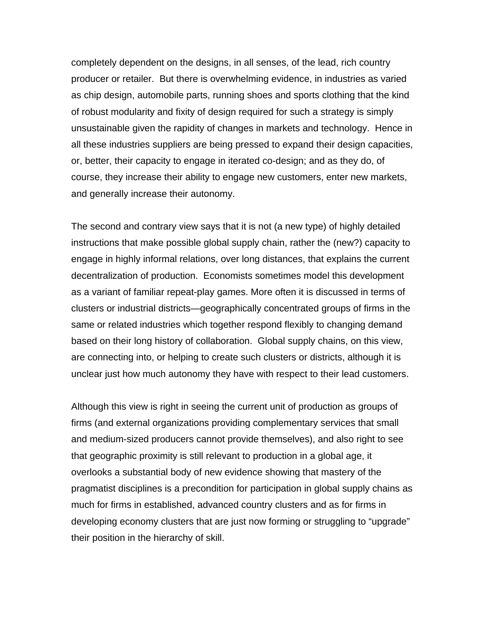completely dependent on the designs, in all senses, of the lead, rich country producer or retailer. But there is overwhelming evidence, in industries as varied as chip design, automobile parts, running shoes and sports clothing that the kind of robust modularity and fixity of design required for such a strategy is simply unsustainable given the rapidity of changes in markets and technology. Hence in all these industries suppliers are being pressed to expand their design capacities, or, better, their capacity to engage in iterated co-design; and as they do, of course, they increase their ability to engage new customers, enter new markets, and generally increase their autonomy.

The second and contrary view says that it is not (a new type) of highly detailed instructions that make possible global supply chain, rather the (new?) capacity to engage in highly informal relations, over long distances, that explains the current decentralization of production. Economists sometimes model this development as a variant of familiar repeat-play games. More often it is discussed in terms of clusters or industrial districts—geographically concentrated groups of firms in the same or related industries which together respond flexibly to changing demand based on their long history of collaboration. Global supply chains, on this view, are connecting into, or helping to create such clusters or districts, although it is unclear just how much autonomy they have with respect to their lead customers.

Although this view is right in seeing the current unit of production as groups of firms (and external organizations providing complementary services that small and medium-sized producers cannot provide themselves), and also right to see that geographic proximity is still relevant to production in a global age, it overlooks a substantial body of new evidence showing that mastery of the pragmatist disciplines is a precondition for participation in global supply chains as much for firms in established, advanced country clusters and as for firms in developing economy clusters that are just now forming or struggling to "upgrade" their position in the hierarchy of skill.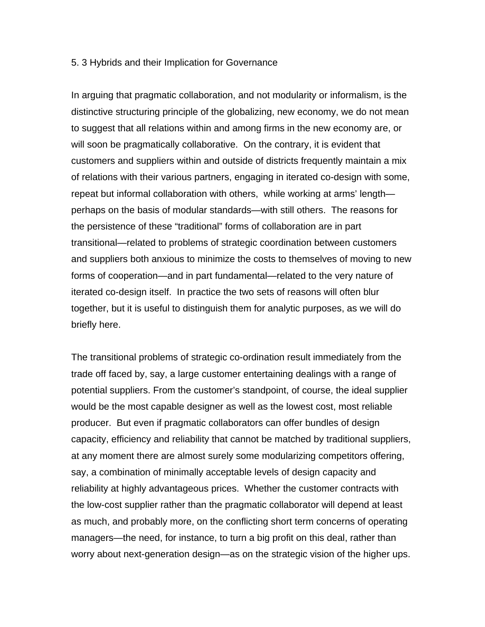#### 5. 3 Hybrids and their Implication for Governance

In arguing that pragmatic collaboration, and not modularity or informalism, is the distinctive structuring principle of the globalizing, new economy, we do not mean to suggest that all relations within and among firms in the new economy are, or will soon be pragmatically collaborative. On the contrary, it is evident that customers and suppliers within and outside of districts frequently maintain a mix of relations with their various partners, engaging in iterated co-design with some, repeat but informal collaboration with others, while working at arms' length perhaps on the basis of modular standards—with still others. The reasons for the persistence of these "traditional" forms of collaboration are in part transitional—related to problems of strategic coordination between customers and suppliers both anxious to minimize the costs to themselves of moving to new forms of cooperation—and in part fundamental—related to the very nature of iterated co-design itself. In practice the two sets of reasons will often blur together, but it is useful to distinguish them for analytic purposes, as we will do briefly here.

The transitional problems of strategic co-ordination result immediately from the trade off faced by, say, a large customer entertaining dealings with a range of potential suppliers. From the customer's standpoint, of course, the ideal supplier would be the most capable designer as well as the lowest cost, most reliable producer. But even if pragmatic collaborators can offer bundles of design capacity, efficiency and reliability that cannot be matched by traditional suppliers, at any moment there are almost surely some modularizing competitors offering, say, a combination of minimally acceptable levels of design capacity and reliability at highly advantageous prices. Whether the customer contracts with the low-cost supplier rather than the pragmatic collaborator will depend at least as much, and probably more, on the conflicting short term concerns of operating managers—the need, for instance, to turn a big profit on this deal, rather than worry about next-generation design—as on the strategic vision of the higher ups.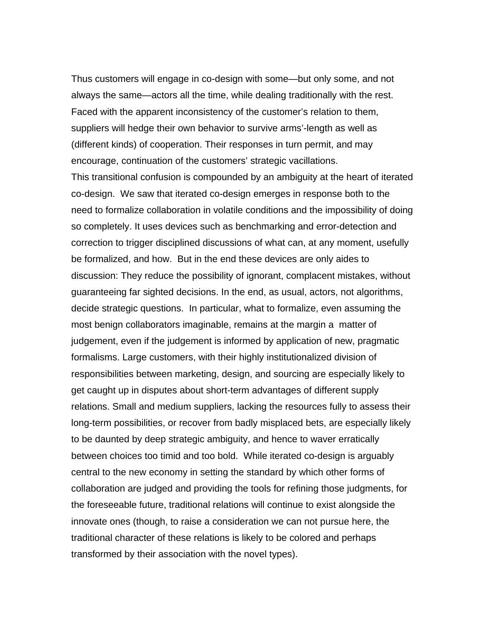Thus customers will engage in co-design with some—but only some, and not always the same—actors all the time, while dealing traditionally with the rest. Faced with the apparent inconsistency of the customer's relation to them, suppliers will hedge their own behavior to survive arms'-length as well as (different kinds) of cooperation. Their responses in turn permit, and may encourage, continuation of the customers' strategic vacillations.

This transitional confusion is compounded by an ambiguity at the heart of iterated co-design. We saw that iterated co-design emerges in response both to the need to formalize collaboration in volatile conditions and the impossibility of doing so completely. It uses devices such as benchmarking and error-detection and correction to trigger disciplined discussions of what can, at any moment, usefully be formalized, and how. But in the end these devices are only aides to discussion: They reduce the possibility of ignorant, complacent mistakes, without guaranteeing far sighted decisions. In the end, as usual, actors, not algorithms, decide strategic questions. In particular, what to formalize, even assuming the most benign collaborators imaginable, remains at the margin a matter of judgement, even if the judgement is informed by application of new, pragmatic formalisms. Large customers, with their highly institutionalized division of responsibilities between marketing, design, and sourcing are especially likely to get caught up in disputes about short-term advantages of different supply relations. Small and medium suppliers, lacking the resources fully to assess their long-term possibilities, or recover from badly misplaced bets, are especially likely to be daunted by deep strategic ambiguity, and hence to waver erratically between choices too timid and too bold. While iterated co-design is arguably central to the new economy in setting the standard by which other forms of collaboration are judged and providing the tools for refining those judgments, for the foreseeable future, traditional relations will continue to exist alongside the innovate ones (though, to raise a consideration we can not pursue here, the traditional character of these relations is likely to be colored and perhaps transformed by their association with the novel types).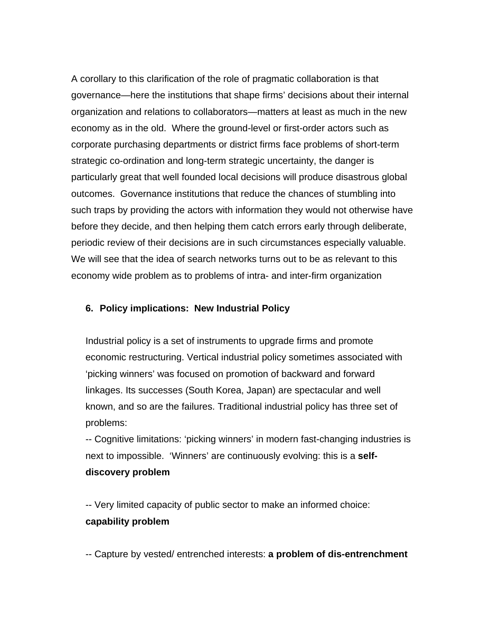A corollary to this clarification of the role of pragmatic collaboration is that governance—here the institutions that shape firms' decisions about their internal organization and relations to collaborators—matters at least as much in the new economy as in the old. Where the ground-level or first-order actors such as corporate purchasing departments or district firms face problems of short-term strategic co-ordination and long-term strategic uncertainty, the danger is particularly great that well founded local decisions will produce disastrous global outcomes. Governance institutions that reduce the chances of stumbling into such traps by providing the actors with information they would not otherwise have before they decide, and then helping them catch errors early through deliberate, periodic review of their decisions are in such circumstances especially valuable. We will see that the idea of search networks turns out to be as relevant to this economy wide problem as to problems of intra- and inter-firm organization

### **6. Policy implications: New Industrial Policy**

Industrial policy is a set of instruments to upgrade firms and promote economic restructuring. Vertical industrial policy sometimes associated with 'picking winners' was focused on promotion of backward and forward linkages. Its successes (South Korea, Japan) are spectacular and well known, and so are the failures. Traditional industrial policy has three set of problems:

-- Cognitive limitations: 'picking winners' in modern fast-changing industries is next to impossible. 'Winners' are continuously evolving: this is a **selfdiscovery problem** 

-- Very limited capacity of public sector to make an informed choice: **capability problem**

-- Capture by vested/ entrenched interests: **a problem of dis-entrenchment**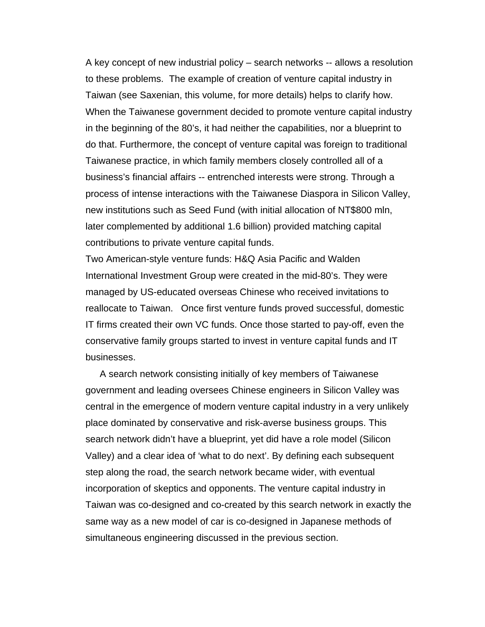A key concept of new industrial policy – search networks -- allows a resolution to these problems. The example of creation of venture capital industry in Taiwan (see Saxenian, this volume, for more details) helps to clarify how. When the Taiwanese government decided to promote venture capital industry in the beginning of the 80's, it had neither the capabilities, nor a blueprint to do that. Furthermore, the concept of venture capital was foreign to traditional Taiwanese practice, in which family members closely controlled all of a business's financial affairs -- entrenched interests were strong. Through a process of intense interactions with the Taiwanese Diaspora in Silicon Valley, new institutions such as Seed Fund (with initial allocation of NT\$800 mln, later complemented by additional 1.6 billion) provided matching capital contributions to private venture capital funds.

Two American-style venture funds: H&Q Asia Pacific and Walden International Investment Group were created in the mid-80's. They were managed by US-educated overseas Chinese who received invitations to reallocate to Taiwan. Once first venture funds proved successful, domestic IT firms created their own VC funds. Once those started to pay-off, even the conservative family groups started to invest in venture capital funds and IT businesses.

 A search network consisting initially of key members of Taiwanese government and leading oversees Chinese engineers in Silicon Valley was central in the emergence of modern venture capital industry in a very unlikely place dominated by conservative and risk-averse business groups. This search network didn't have a blueprint, yet did have a role model (Silicon Valley) and a clear idea of 'what to do next'. By defining each subsequent step along the road, the search network became wider, with eventual incorporation of skeptics and opponents. The venture capital industry in Taiwan was co-designed and co-created by this search network in exactly the same way as a new model of car is co-designed in Japanese methods of simultaneous engineering discussed in the previous section.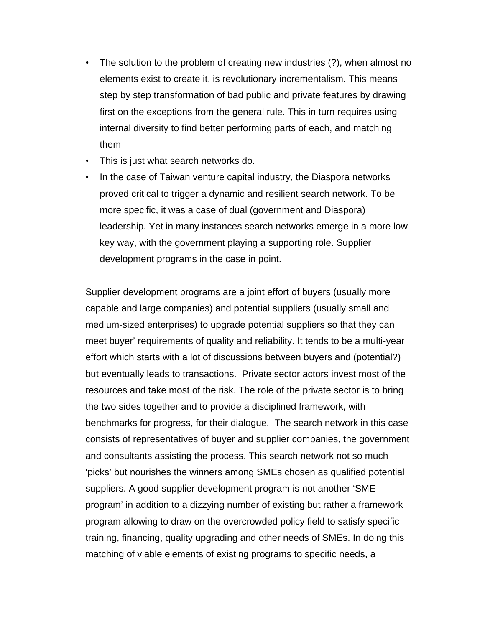- The solution to the problem of creating new industries (?), when almost no elements exist to create it, is revolutionary incrementalism. This means step by step transformation of bad public and private features by drawing first on the exceptions from the general rule. This in turn requires using internal diversity to find better performing parts of each, and matching them
- This is just what search networks do.
- In the case of Taiwan venture capital industry, the Diaspora networks proved critical to trigger a dynamic and resilient search network. To be more specific, it was a case of dual (government and Diaspora) leadership. Yet in many instances search networks emerge in a more lowkey way, with the government playing a supporting role. Supplier development programs in the case in point.

Supplier development programs are a joint effort of buyers (usually more capable and large companies) and potential suppliers (usually small and medium-sized enterprises) to upgrade potential suppliers so that they can meet buyer' requirements of quality and reliability. It tends to be a multi-year effort which starts with a lot of discussions between buyers and (potential?) but eventually leads to transactions. Private sector actors invest most of the resources and take most of the risk. The role of the private sector is to bring the two sides together and to provide a disciplined framework, with benchmarks for progress, for their dialogue. The search network in this case consists of representatives of buyer and supplier companies, the government and consultants assisting the process. This search network not so much 'picks' but nourishes the winners among SMEs chosen as qualified potential suppliers. A good supplier development program is not another 'SME program' in addition to a dizzying number of existing but rather a framework program allowing to draw on the overcrowded policy field to satisfy specific training, financing, quality upgrading and other needs of SMEs. In doing this matching of viable elements of existing programs to specific needs, a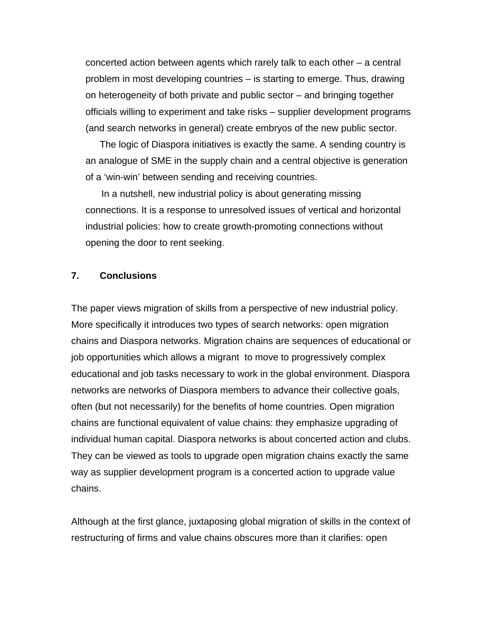concerted action between agents which rarely talk to each other – a central problem in most developing countries – is starting to emerge. Thus, drawing on heterogeneity of both private and public sector – and bringing together officials willing to experiment and take risks – supplier development programs (and search networks in general) create embryos of the new public sector.

The logic of Diaspora initiatives is exactly the same. A sending country is an analogue of SME in the supply chain and a central objective is generation of a 'win-win' between sending and receiving countries.

 In a nutshell, new industrial policy is about generating missing connections. It is a response to unresolved issues of vertical and horizontal industrial policies: how to create growth-promoting connections without opening the door to rent seeking.

### **7. Conclusions**

The paper views migration of skills from a perspective of new industrial policy. More specifically it introduces two types of search networks: open migration chains and Diaspora networks. Migration chains are sequences of educational or job opportunities which allows a migrant to move to progressively complex educational and job tasks necessary to work in the global environment. Diaspora networks are networks of Diaspora members to advance their collective goals, often (but not necessarily) for the benefits of home countries. Open migration chains are functional equivalent of value chains: they emphasize upgrading of individual human capital. Diaspora networks is about concerted action and clubs. They can be viewed as tools to upgrade open migration chains exactly the same way as supplier development program is a concerted action to upgrade value chains.

Although at the first glance, juxtaposing global migration of skills in the context of restructuring of firms and value chains obscures more than it clarifies: open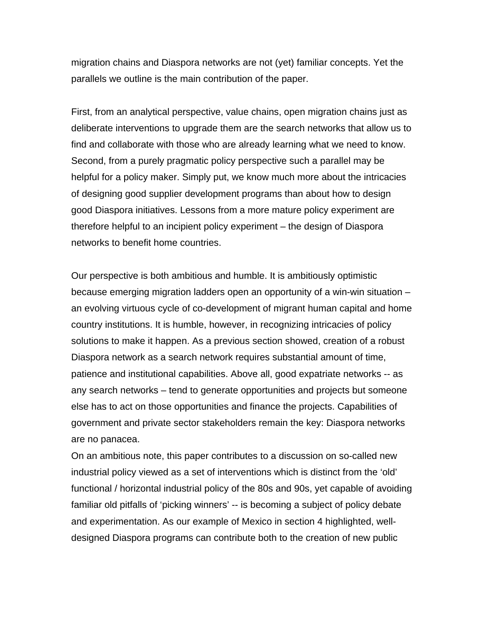migration chains and Diaspora networks are not (yet) familiar concepts. Yet the parallels we outline is the main contribution of the paper.

First, from an analytical perspective, value chains, open migration chains just as deliberate interventions to upgrade them are the search networks that allow us to find and collaborate with those who are already learning what we need to know. Second, from a purely pragmatic policy perspective such a parallel may be helpful for a policy maker. Simply put, we know much more about the intricacies of designing good supplier development programs than about how to design good Diaspora initiatives. Lessons from a more mature policy experiment are therefore helpful to an incipient policy experiment – the design of Diaspora networks to benefit home countries.

Our perspective is both ambitious and humble. It is ambitiously optimistic because emerging migration ladders open an opportunity of a win-win situation – an evolving virtuous cycle of co-development of migrant human capital and home country institutions. It is humble, however, in recognizing intricacies of policy solutions to make it happen. As a previous section showed, creation of a robust Diaspora network as a search network requires substantial amount of time, patience and institutional capabilities. Above all, good expatriate networks -- as any search networks – tend to generate opportunities and projects but someone else has to act on those opportunities and finance the projects. Capabilities of government and private sector stakeholders remain the key: Diaspora networks are no panacea.

On an ambitious note, this paper contributes to a discussion on so-called new industrial policy viewed as a set of interventions which is distinct from the 'old' functional / horizontal industrial policy of the 80s and 90s, yet capable of avoiding familiar old pitfalls of 'picking winners' -- is becoming a subject of policy debate and experimentation. As our example of Mexico in section 4 highlighted, welldesigned Diaspora programs can contribute both to the creation of new public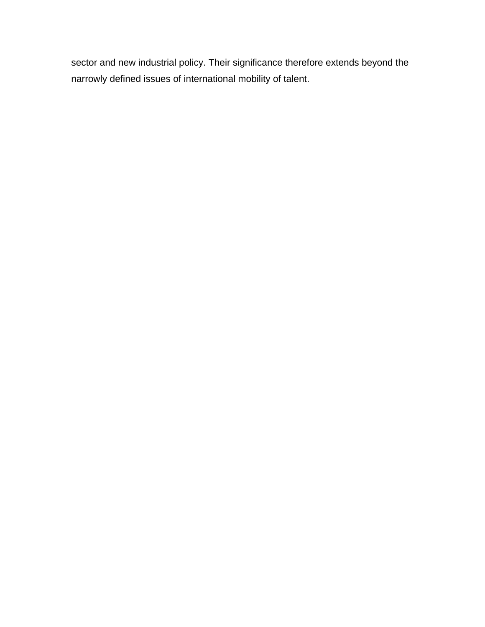sector and new industrial policy. Their significance therefore extends beyond the narrowly defined issues of international mobility of talent.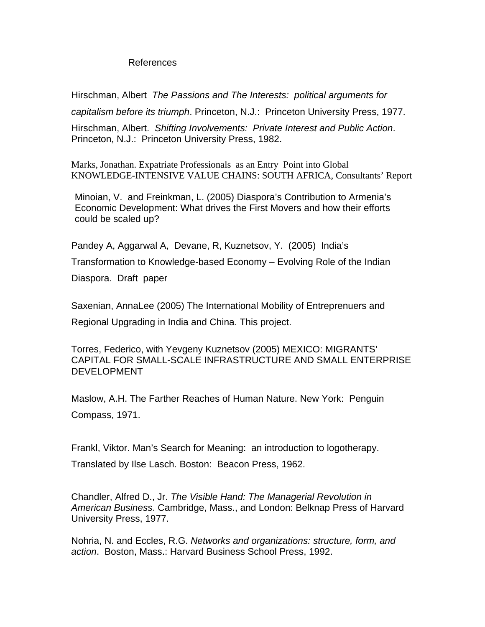### References

Hirschman, Albert *The Passions and The Interests: political arguments for capitalism before its triumph*. Princeton, N.J.: Princeton University Press, 1977. Hirschman, Albert. *Shifting Involvements: Private Interest and Public Action*. Princeton, N.J.: Princeton University Press, 1982.

Marks, Jonathan. Expatriate Professionals as an Entry Point into Global KNOWLEDGE-INTENSIVE VALUE CHAINS: SOUTH AFRICA, Consultants' Report

Minoian, V. and Freinkman, L. (2005) Diaspora's Contribution to Armenia's Economic Development: What drives the First Movers and how their efforts could be scaled up?

Pandey A, Aggarwal A, Devane, R, Kuznetsov, Y. (2005) India's

Transformation to Knowledge-based Economy – Evolving Role of the Indian

Diaspora. Draft paper

Saxenian, AnnaLee (2005) The International Mobility of Entreprenuers and

Regional Upgrading in India and China. This project.

Torres, Federico, with Yevgeny Kuznetsov (2005) MEXICO: MIGRANTS' CAPITAL FOR SMALL-SCALE INFRASTRUCTURE AND SMALL ENTERPRISE DEVELOPMENT

Maslow, A.H. The Farther Reaches of Human Nature. New York: Penguin Compass, 1971.

Frankl, Viktor. Man's Search for Meaning: an introduction to logotherapy.

Translated by Ilse Lasch. Boston: Beacon Press, 1962.

Chandler, Alfred D., Jr. *The Visible Hand: The Managerial Revolution in American Business*. Cambridge, Mass., and London: Belknap Press of Harvard University Press, 1977.

Nohria, N. and Eccles, R.G. *Networks and organizations: structure, form, and action*. Boston, Mass.: Harvard Business School Press, 1992.